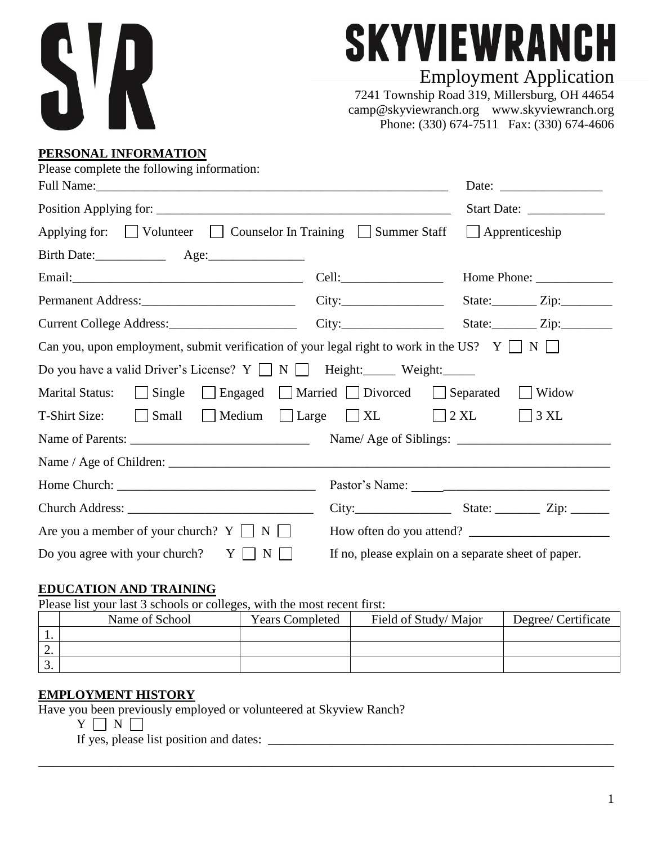

# **SKYVIEWRANCH**

# Employment Application

7241 Township Road 319, Millersburg, OH 44654 camp@skyviewranch.org www.skyviewranch.org Phone: (330) 674-7511 Fax: (330) 674-4606

#### **PERSONAL INFORMATION**

|                                                     | Current College Address: City: City: State: Zip: Zip:                                                                                                                                                                                                                                                                                                                                                                                   |
|-----------------------------------------------------|-----------------------------------------------------------------------------------------------------------------------------------------------------------------------------------------------------------------------------------------------------------------------------------------------------------------------------------------------------------------------------------------------------------------------------------------|
|                                                     |                                                                                                                                                                                                                                                                                                                                                                                                                                         |
|                                                     |                                                                                                                                                                                                                                                                                                                                                                                                                                         |
|                                                     | Widow                                                                                                                                                                                                                                                                                                                                                                                                                                   |
|                                                     | $\bigcap$ 3 XL                                                                                                                                                                                                                                                                                                                                                                                                                          |
|                                                     |                                                                                                                                                                                                                                                                                                                                                                                                                                         |
|                                                     |                                                                                                                                                                                                                                                                                                                                                                                                                                         |
|                                                     |                                                                                                                                                                                                                                                                                                                                                                                                                                         |
|                                                     | $City:$ State: $Zip:$ Zip:                                                                                                                                                                                                                                                                                                                                                                                                              |
|                                                     | How often do you attend?                                                                                                                                                                                                                                                                                                                                                                                                                |
| If no, please explain on a separate sheet of paper. |                                                                                                                                                                                                                                                                                                                                                                                                                                         |
|                                                     | Applying for: $\Box$ Volunteer $\Box$ Counselor In Training $\Box$ Summer Staff $\Box$ Apprenticeship<br>Can you, upon employment, submit verification of your legal right to work in the US? $Y \sqcup N \sqcup$<br>Do you have a valid Driver's License? $Y \square N \square$ Height: Weight:<br>Marital Status: Single Separated Separated Separated<br>T-Shirt Size: $\Box$ Small $\Box$ Medium $\Box$ Large $\Box$ XL $\Box$ 2 XL |

### **EDUCATION AND TRAINING**

Please list your last 3 schools or colleges, with the most recent first:

|     | Name of School | <b>Years Completed</b> | Field of Study/Major | Degree/ Certificate |
|-----|----------------|------------------------|----------------------|---------------------|
|     |                |                        |                      |                     |
| ـ ت |                |                        |                      |                     |
| J.  |                |                        |                      |                     |

\_\_\_\_\_\_\_\_\_\_\_\_\_\_\_\_\_\_\_\_\_\_\_\_\_\_\_\_\_\_\_\_\_\_\_\_\_\_\_\_\_\_\_\_\_\_\_\_\_\_\_\_\_\_\_\_\_\_\_\_\_\_\_\_\_\_\_\_\_\_\_\_\_\_\_\_\_\_\_\_\_\_\_\_\_\_\_\_\_\_

# **EMPLOYMENT HISTORY**

Have you been previously employed or volunteered at Skyview Ranch?

 $Y \cap N \cap$ 

If yes, please list position and dates: \_\_\_\_\_\_\_\_\_\_\_\_\_\_\_\_\_\_\_\_\_\_\_\_\_\_\_\_\_\_\_\_\_\_\_\_\_\_\_\_\_\_\_\_\_\_\_\_\_\_\_\_\_\_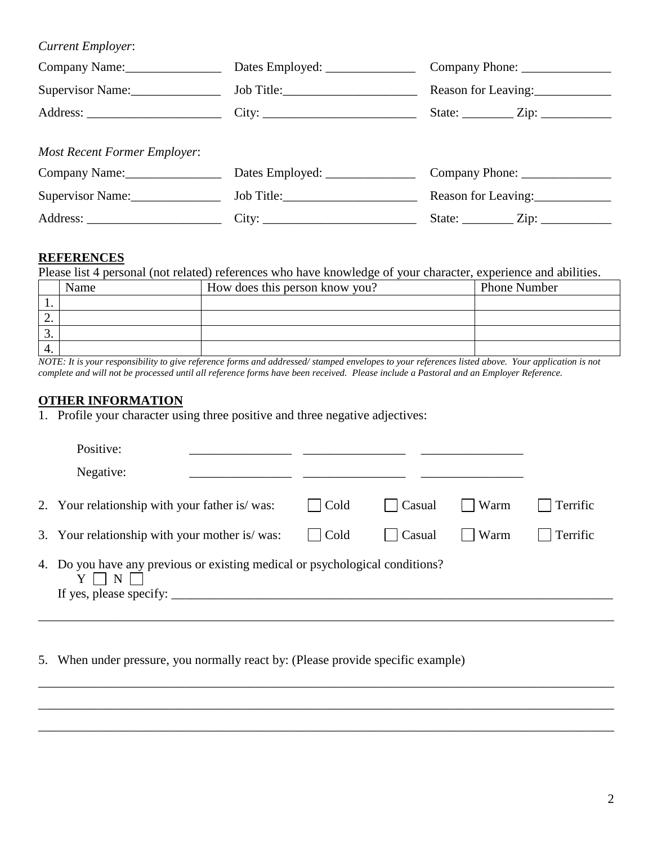*Current Employer*: Company Name: \_\_\_\_\_\_\_\_\_\_\_\_\_\_\_\_\_\_\_ Dates Employed: \_\_\_\_\_\_\_\_\_\_\_\_\_\_\_\_\_\_\_\_\_\_\_ Company Phone: \_\_\_\_\_\_\_\_\_\_\_\_\_\_\_\_\_\_\_\_ Supervisor Name:\_\_\_\_\_\_\_\_\_\_\_\_\_\_ Job Title:\_\_\_\_\_\_\_\_\_\_\_\_\_\_\_\_\_\_\_\_\_ Reason for Leaving:\_\_\_\_\_\_\_\_\_\_\_\_ Address: City: City: State: Zip: *Most Recent Former Employer*:

| Company Name:    | Dates Employed: | Company Phone:         |
|------------------|-----------------|------------------------|
| Supervisor Name: | Job Title:      | Reason for Leaving:    |
| Address:         | City:           | State:<br>$\angle$ in: |

# **REFERENCES**

Please list 4 personal (not related) references who have knowledge of your character, experience and abilities.

|     | Name | How does this person know you? | <b>Phone Number</b> |
|-----|------|--------------------------------|---------------------|
| . . |      |                                |                     |
| ٠.  |      |                                |                     |
| . ب |      |                                |                     |
| 4.  |      |                                |                     |

*NOTE: It is your responsibility to give reference forms and addressed/ stamped envelopes to your references listed above. Your application is not complete and will not be processed until all reference forms have been received. Please include a Pastoral and an Employer Reference.*

# **OTHER INFORMATION**

1. Profile your character using three positive and three negative adjectives:

| Positive:                                                                                                           |                      |                        |          |          |
|---------------------------------------------------------------------------------------------------------------------|----------------------|------------------------|----------|----------|
| Negative:                                                                                                           |                      |                        |          |          |
| 2. Your relationship with your father is/was:                                                                       | $\vert$ Cold         | $\vert$ $\vert$ Casual | $ $ Warm | Terrific |
| 3. Your relationship with your mother is/was:                                                                       | $\vert$ $\vert$ Cold | $\vert$ Casual         | $ $ Warm | Terrific |
| 4. Do you have any previous or existing medical or psychological conditions?<br>N<br>If yes, please specify: $\_\_$ |                      |                        |          |          |

\_\_\_\_\_\_\_\_\_\_\_\_\_\_\_\_\_\_\_\_\_\_\_\_\_\_\_\_\_\_\_\_\_\_\_\_\_\_\_\_\_\_\_\_\_\_\_\_\_\_\_\_\_\_\_\_\_\_\_\_\_\_\_\_\_\_\_\_\_\_\_\_\_\_\_\_\_\_\_\_\_\_\_\_\_\_\_\_\_\_

\_\_\_\_\_\_\_\_\_\_\_\_\_\_\_\_\_\_\_\_\_\_\_\_\_\_\_\_\_\_\_\_\_\_\_\_\_\_\_\_\_\_\_\_\_\_\_\_\_\_\_\_\_\_\_\_\_\_\_\_\_\_\_\_\_\_\_\_\_\_\_\_\_\_\_\_\_\_\_\_\_\_\_\_\_\_\_\_\_\_

\_\_\_\_\_\_\_\_\_\_\_\_\_\_\_\_\_\_\_\_\_\_\_\_\_\_\_\_\_\_\_\_\_\_\_\_\_\_\_\_\_\_\_\_\_\_\_\_\_\_\_\_\_\_\_\_\_\_\_\_\_\_\_\_\_\_\_\_\_\_\_\_\_\_\_\_\_\_\_\_\_\_\_\_\_\_\_\_\_\_

5. When under pressure, you normally react by: (Please provide specific example)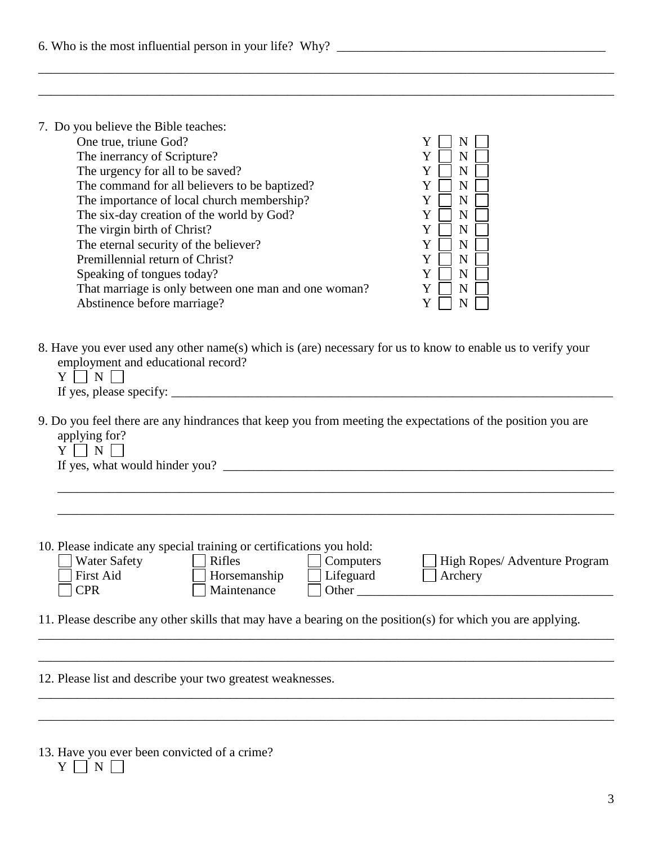| 7. Do you believe the Bible teaches:<br>One true, triune God?<br>Y<br>The inerrancy of Scripture?<br>Y<br>N<br>The urgency for all to be saved?<br>Y<br>N<br>The command for all believers to be baptized?<br>Y<br>N<br>The importance of local church membership?<br>Y<br>N<br>The six-day creation of the world by God?<br>Y<br>N<br>The virgin birth of Christ?<br>Y<br>N<br>The eternal security of the believer?<br>Y<br>N<br>Premillennial return of Christ?<br>Y<br>N<br>Speaking of tongues today?<br>Y<br>N<br>That marriage is only between one man and one woman?<br>Y<br>N<br>Abstinence before marriage?<br>Y<br>N |
|---------------------------------------------------------------------------------------------------------------------------------------------------------------------------------------------------------------------------------------------------------------------------------------------------------------------------------------------------------------------------------------------------------------------------------------------------------------------------------------------------------------------------------------------------------------------------------------------------------------------------------|
| 8. Have you ever used any other name(s) which is (are) necessary for us to know to enable us to verify your<br>employment and educational record?<br>$\Box$ N $\Box$<br>Y                                                                                                                                                                                                                                                                                                                                                                                                                                                       |
| 9. Do you feel there are any hindrances that keep you from meeting the expectations of the position you are<br>applying for?<br>$Y \mid \mid N \mid$                                                                                                                                                                                                                                                                                                                                                                                                                                                                            |
| 10. Please indicate any special training or certifications you hold:<br><b>Water Safety</b><br><b>Rifles</b><br>Computers<br>High Ropes/ Adventure Program<br><b>First Aid</b><br>Lifeguard<br>Horsemanship<br>Archery<br><b>CPR</b><br>Maintenance<br>Other<br>11. Please describe any other skills that may have a bearing on the position(s) for which you are applying.                                                                                                                                                                                                                                                     |
|                                                                                                                                                                                                                                                                                                                                                                                                                                                                                                                                                                                                                                 |
| 12. Please list and describe your two greatest weaknesses.                                                                                                                                                                                                                                                                                                                                                                                                                                                                                                                                                                      |
| 13. Have you ever been convicted of a crime?<br>${\bf N}$<br>Y                                                                                                                                                                                                                                                                                                                                                                                                                                                                                                                                                                  |

\_\_\_\_\_\_\_\_\_\_\_\_\_\_\_\_\_\_\_\_\_\_\_\_\_\_\_\_\_\_\_\_\_\_\_\_\_\_\_\_\_\_\_\_\_\_\_\_\_\_\_\_\_\_\_\_\_\_\_\_\_\_\_\_\_\_\_\_\_\_\_\_\_\_\_\_\_\_\_\_\_\_\_\_\_\_\_\_\_\_

 $\Box$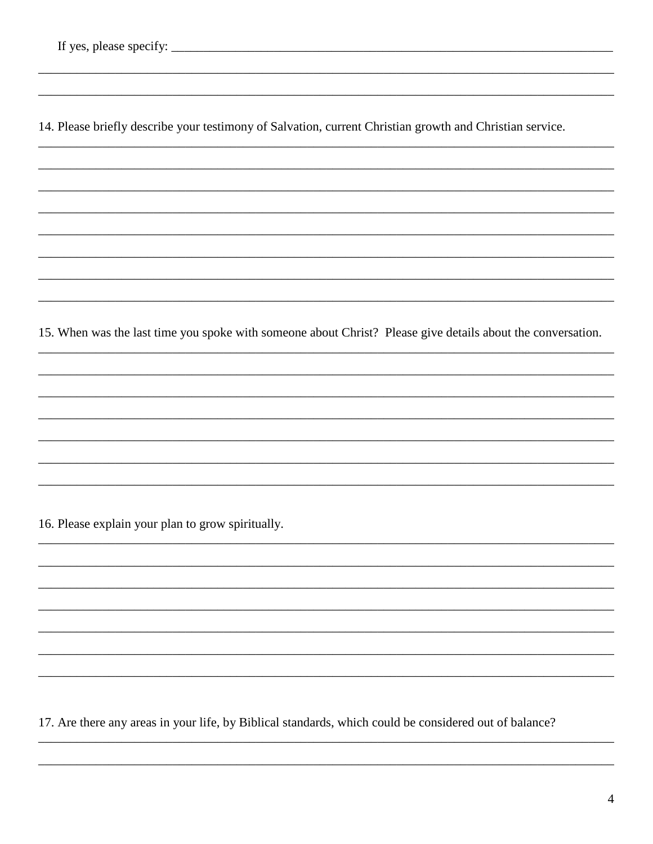14. Please briefly describe your testimony of Salvation, current Christian growth and Christian service.

15. When was the last time you spoke with someone about Christ? Please give details about the conversation.

16. Please explain your plan to grow spiritually.

17. Are there any areas in your life, by Biblical standards, which could be considered out of balance?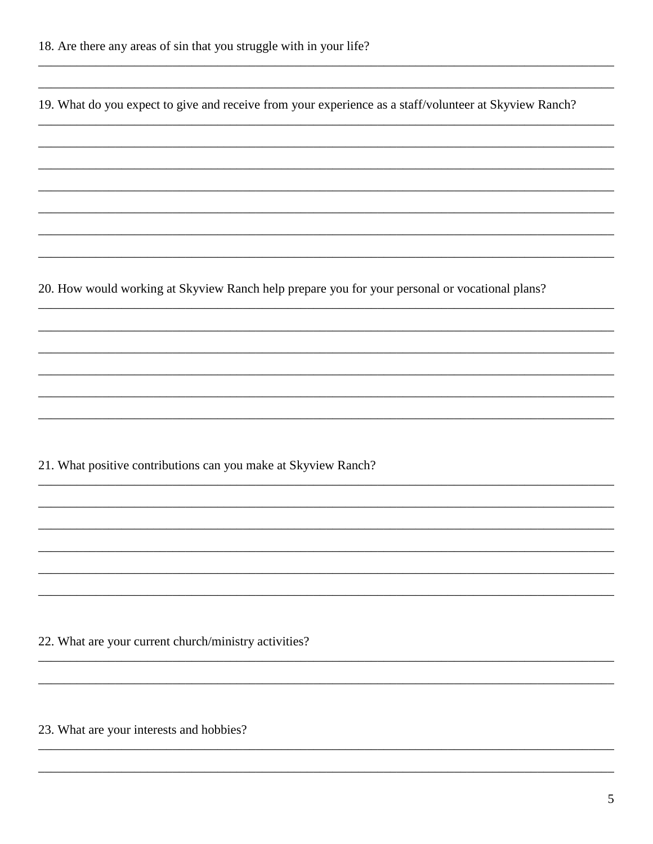19. What do you expect to give and receive from your experience as a staff/volunteer at Skyview Ranch?

20. How would working at Skyview Ranch help prepare you for your personal or vocational plans?

21. What positive contributions can you make at Skyview Ranch?

22. What are your current church/ministry activities?

23. What are your interests and hobbies?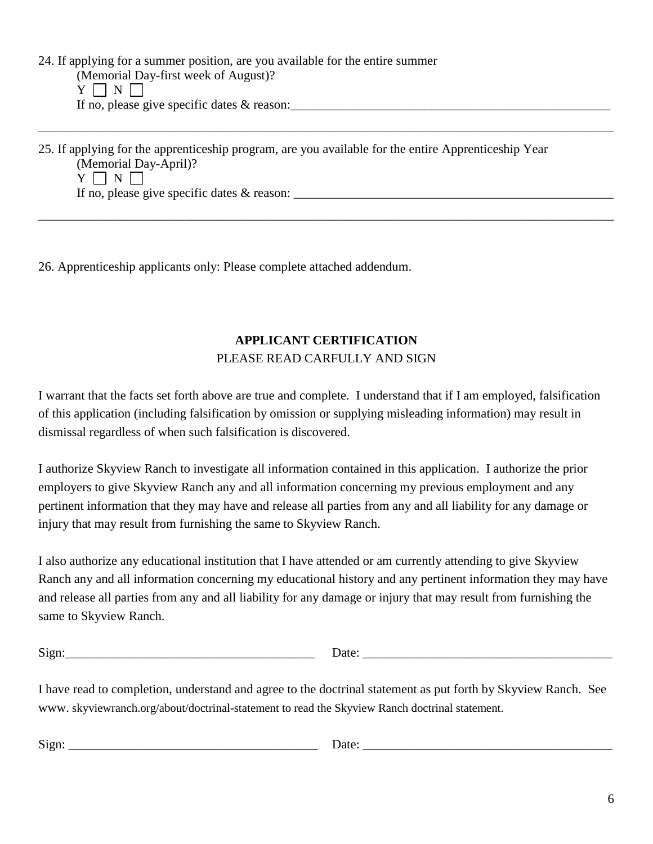24. If applying for a summer position, are you available for the entire summer (Memorial Day-first week of August)?  $Y \sqcap N \sqcap$ If no, please give specific dates & reason:

25. If applying for the apprenticeship program, are you available for the entire Apprenticeship Year (Memorial Day-April)?  $Y \mid \mid N \mid \mid$ If no, please give specific dates  $\&$  reason:

\_\_\_\_\_\_\_\_\_\_\_\_\_\_\_\_\_\_\_\_\_\_\_\_\_\_\_\_\_\_\_\_\_\_\_\_\_\_\_\_\_\_\_\_\_\_\_\_\_\_\_\_\_\_\_\_\_\_\_\_\_\_\_\_\_\_\_\_\_\_\_\_\_\_\_\_\_\_\_\_\_\_\_\_\_\_\_\_\_\_

\_\_\_\_\_\_\_\_\_\_\_\_\_\_\_\_\_\_\_\_\_\_\_\_\_\_\_\_\_\_\_\_\_\_\_\_\_\_\_\_\_\_\_\_\_\_\_\_\_\_\_\_\_\_\_\_\_\_\_\_\_\_\_\_\_\_\_\_\_\_\_\_\_\_\_\_\_\_\_\_\_\_\_\_\_\_\_\_\_\_

26. Apprenticeship applicants only: Please complete attached addendum.

#### **APPLICANT CERTIFICATION** PLEASE READ CARFULLY AND SIGN

I warrant that the facts set forth above are true and complete. I understand that if I am employed, falsification of this application (including falsification by omission or supplying misleading information) may result in dismissal regardless of when such falsification is discovered.

I authorize Skyview Ranch to investigate all information contained in this application. I authorize the prior employers to give Skyview Ranch any and all information concerning my previous employment and any pertinent information that they may have and release all parties from any and all liability for any damage or injury that may result from furnishing the same to Skyview Ranch.

I also authorize any educational institution that I have attended or am currently attending to give Skyview Ranch any and all information concerning my educational history and any pertinent information they may have and release all parties from any and all liability for any damage or injury that may result from furnishing the same to Skyview Ranch.

| $\sim$ $\cdot$<br>- |  |
|---------------------|--|
| ___                 |  |

I have read to completion, understand and agree to the doctrinal statement as put forth by Skyview Ranch. See www. skyviewranch.org/about/doctrinal-statement to read the Skyview Ranch doctrinal statement.

| $\sim$<br>$\sim$ $\sim$ $\sim$<br>ıat.<br>-<br>----<br>. |  |
|----------------------------------------------------------|--|
|----------------------------------------------------------|--|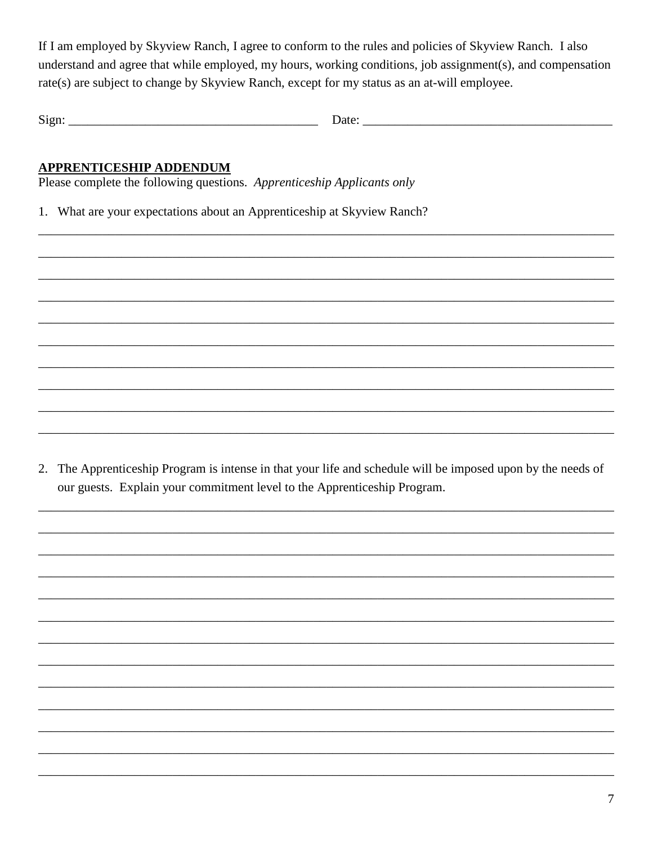If I am employed by Skyview Ranch, I agree to conform to the rules and policies of Skyview Ranch. I also understand and agree that while employed, my hours, working conditions, job assignment(s), and compensation rate(s) are subject to change by Skyview Ranch, except for my status as an at-will employee.

Date: 

#### APPRENTICESHIP ADDENDUM

Please complete the following questions. Apprenticeship Applicants only

1. What are your expectations about an Apprenticeship at Skyview Ranch?

2. The Apprenticeship Program is intense in that your life and schedule will be imposed upon by the needs of our guests. Explain your commitment level to the Apprenticeship Program.